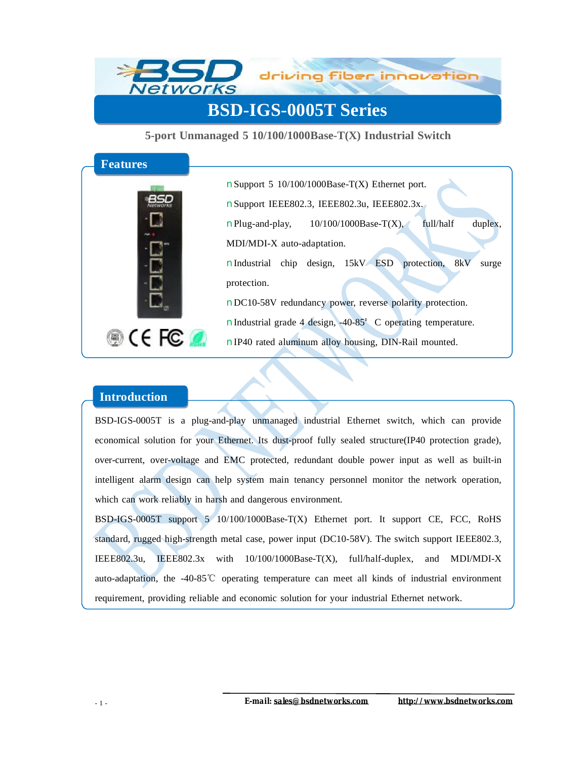

## **BSD-IGS-0005T Series**

**5-port Unmanaged 5 10/100/1000Base-T(X) Industrial Switch** 



nSupport 5 10/100/1000Base-T(X) Ethernet port. nSupport IEEE802.3, IEEE802.3u, IEEE802.3x.  $n$ Plug-and-play,  $10/100/1000$ Base-T(X), full/half duplex, MDI/MDI-X auto-adaptation. nIndustrial chip design, 15kV ESD protection, 8kV surge protection. nDC10-58V redundancy power, reverse polarity protection. nIndustrial grade 4 design, -40-85°C operating temperature. nIP40 rated aluminum alloy housing, DIN-Rail mounted.

## **Introduction**

BSD-IGS-0005T is a plug-and-play unmanaged industrial Ethernet switch, which can provide economical solution for your Ethernet. Its dust-proof fully sealed structure(IP40 protection grade), over-current, over-voltage and EMC protected, redundant double power input as well as built-in intelligent alarm design can help system main tenancy personnel monitor the network operation, which can work reliably in harsh and dangerous environment.

BSD-IGS-0005T support 5 10/100/1000Base-T(X) Ethernet port. It support CE, FCC, RoHS standard, rugged high-strength metal case, power input (DC10-58V). The switch support IEEE802.3, IEEE802.3u, IEEE802.3x with 10/100/1000Base-T(X), full/half-duplex, and MDI/MDI-X auto-adaptation, the -40-85℃ operating temperature can meet all kinds of industrial environment requirement, providing reliable and economic solution for your industrial Ethernet network.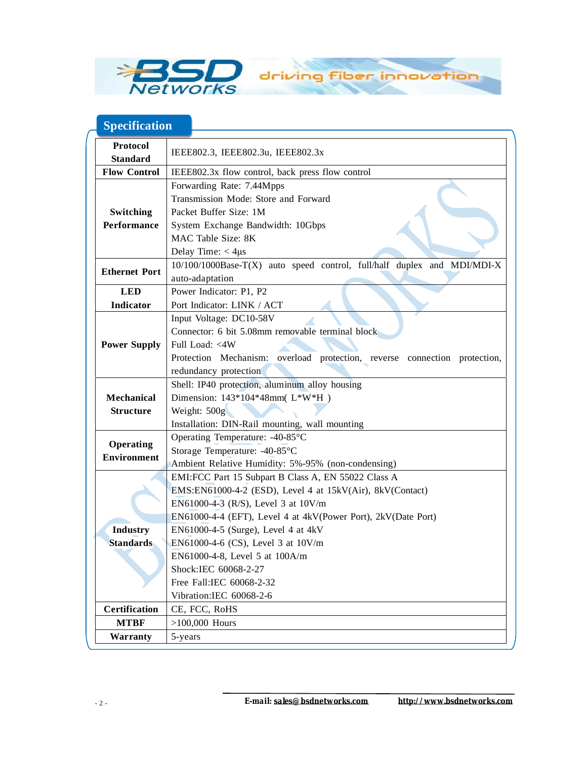

## **Specification**

| Protocol<br>IEEE802.3, IEEE802.3u, IEEE802.3x                                                   |                                                           |  |
|-------------------------------------------------------------------------------------------------|-----------------------------------------------------------|--|
| <b>Standard</b>                                                                                 |                                                           |  |
| <b>Flow Control</b><br>IEEE802.3x flow control, back press flow control                         |                                                           |  |
| Forwarding Rate: 7.44Mpps                                                                       |                                                           |  |
| Transmission Mode: Store and Forward                                                            |                                                           |  |
| Switching<br>Packet Buffer Size: 1M                                                             |                                                           |  |
| Performance<br>System Exchange Bandwidth: 10Gbps                                                |                                                           |  |
| MAC Table Size: 8K                                                                              |                                                           |  |
| Delay Time: $<$ 4 $\mu$ s                                                                       |                                                           |  |
| 10/100/1000Base-T(X) auto speed control, full/half duplex and MDI/MDI-X<br><b>Ethernet Port</b> |                                                           |  |
| auto-adaptation                                                                                 |                                                           |  |
| <b>LED</b><br>Power Indicator: P1, P2                                                           |                                                           |  |
| Port Indicator: LINK / ACT<br>Indicator                                                         |                                                           |  |
| Input Voltage: DC10-58V                                                                         |                                                           |  |
| Connector: 6 bit 5.08mm removable terminal block                                                |                                                           |  |
| <b>Power Supply</b><br>Full Load: <4W                                                           |                                                           |  |
| Protection Mechanism: overload protection, reverse connection protection,                       |                                                           |  |
| redundancy protection                                                                           |                                                           |  |
|                                                                                                 | Shell: IP40 protection, aluminum alloy housing            |  |
| <b>Mechanical</b><br>Dimension: 143*104*48mm(L*W*H)                                             | Weight: 500g                                              |  |
| <b>Structure</b>                                                                                |                                                           |  |
| Installation: DIN-Rail mounting, wall mounting                                                  |                                                           |  |
| Operating Temperature: -40-85°C                                                                 |                                                           |  |
| <b>Operating</b><br>Storage Temperature: -40-85°C                                               |                                                           |  |
| <b>Environment</b><br>Ambient Relative Humidity: 5%-95% (non-condensing)                        |                                                           |  |
|                                                                                                 | EMI:FCC Part 15 Subpart B Class A, EN 55022 Class A       |  |
|                                                                                                 | EMS:EN61000-4-2 (ESD), Level 4 at 15kV(Air), 8kV(Contact) |  |
| EN61000-4-3 (R/S), Level 3 at 10V/m                                                             |                                                           |  |
| EN61000-4-4 (EFT), Level 4 at 4kV(Power Port), 2kV(Date Port)                                   |                                                           |  |
| <b>Industry</b><br>EN61000-4-5 (Surge), Level 4 at 4kV                                          |                                                           |  |
| <b>Standards</b><br>EN61000-4-6 (CS), Level 3 at 10V/m                                          |                                                           |  |
| EN61000-4-8, Level 5 at 100A/m                                                                  |                                                           |  |
| Shock:IEC 60068-2-27                                                                            |                                                           |  |
| Free Fall:IEC 60068-2-32                                                                        |                                                           |  |
| Vibration:IEC 60068-2-6                                                                         |                                                           |  |
| <b>Certification</b><br>CE, FCC, RoHS                                                           |                                                           |  |
| <b>MTBF</b><br>$>100,000$ Hours                                                                 |                                                           |  |
| Warranty<br>5-years                                                                             |                                                           |  |